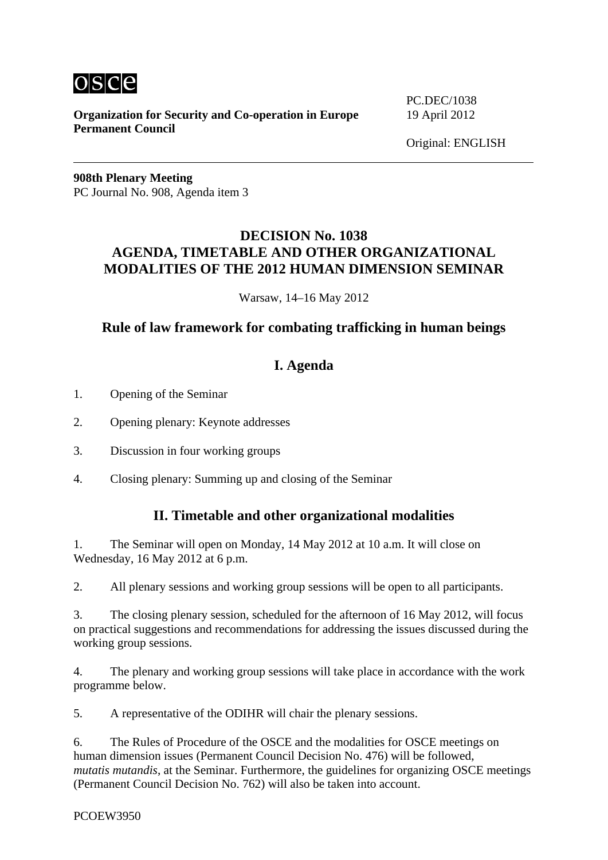

**Organization for Security and Co-operation in Europe** 19 April 2012 **Permanent Council**

PC.DEC/1038

**908th Plenary Meeting**  PC Journal No. 908, Agenda item 3

## **DECISION No. 1038 AGENDA, TIMETABLE AND OTHER ORGANIZATIONAL MODALITIES OF THE 2012 HUMAN DIMENSION SEMINAR**

Warsaw, 14–16 May 2012

## **Rule of law framework for combating trafficking in human beings**

# **I. Agenda**

- 1. Opening of the Seminar
- 2. Opening plenary: Keynote addresses
- 3. Discussion in four working groups
- 4. Closing plenary: Summing up and closing of the Seminar

### **II. Timetable and other organizational modalities**

1. The Seminar will open on Monday, 14 May 2012 at 10 a.m. It will close on Wednesday, 16 May 2012 at 6 p.m.

2. All plenary sessions and working group sessions will be open to all participants.

3. The closing plenary session, scheduled for the afternoon of 16 May 2012, will focus on practical suggestions and recommendations for addressing the issues discussed during the working group sessions.

4. The plenary and working group sessions will take place in accordance with the work programme below.

5. A representative of the ODIHR will chair the plenary sessions.

6. The Rules of Procedure of the OSCE and the modalities for OSCE meetings on human dimension issues (Permanent Council Decision No. 476) will be followed, *mutatis mutandis*, at the Seminar. Furthermore, the guidelines for organizing OSCE meetings (Permanent Council Decision No. 762) will also be taken into account.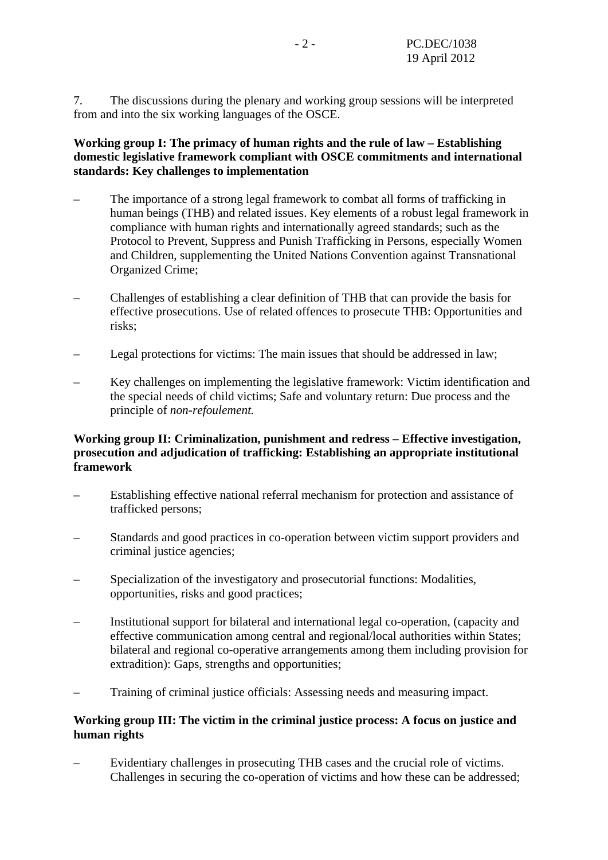7. The discussions during the plenary and working group sessions will be interpreted from and into the six working languages of the OSCE.

#### **Working group I: The primacy of human rights and the rule of law – Establishing domestic legislative framework compliant with OSCE commitments and international standards: Key challenges to implementation**

- The importance of a strong legal framework to combat all forms of trafficking in human beings (THB) and related issues. Key elements of a robust legal framework in compliance with human rights and internationally agreed standards; such as the Protocol to Prevent, Suppress and Punish Trafficking in Persons, especially Women and Children, supplementing the United Nations Convention against Transnational Organized Crime;
- Challenges of establishing a clear definition of THB that can provide the basis for effective prosecutions. Use of related offences to prosecute THB: Opportunities and risks;
- Legal protections for victims: The main issues that should be addressed in law;
- Key challenges on implementing the legislative framework: Victim identification and the special needs of child victims; Safe and voluntary return: Due process and the principle of *non-refoulement.*

#### **Working group II: Criminalization, punishment and redress – Effective investigation, prosecution and adjudication of trafficking: Establishing an appropriate institutional framework**

- Establishing effective national referral mechanism for protection and assistance of trafficked persons;
- Standards and good practices in co-operation between victim support providers and criminal justice agencies;
- Specialization of the investigatory and prosecutorial functions: Modalities, opportunities, risks and good practices;
- Institutional support for bilateral and international legal co-operation, (capacity and effective communication among central and regional/local authorities within States; bilateral and regional co-operative arrangements among them including provision for extradition): Gaps, strengths and opportunities;
- Training of criminal justice officials: Assessing needs and measuring impact.

#### **Working group III: The victim in the criminal justice process: A focus on justice and human rights**

– Evidentiary challenges in prosecuting THB cases and the crucial role of victims. Challenges in securing the co-operation of victims and how these can be addressed;